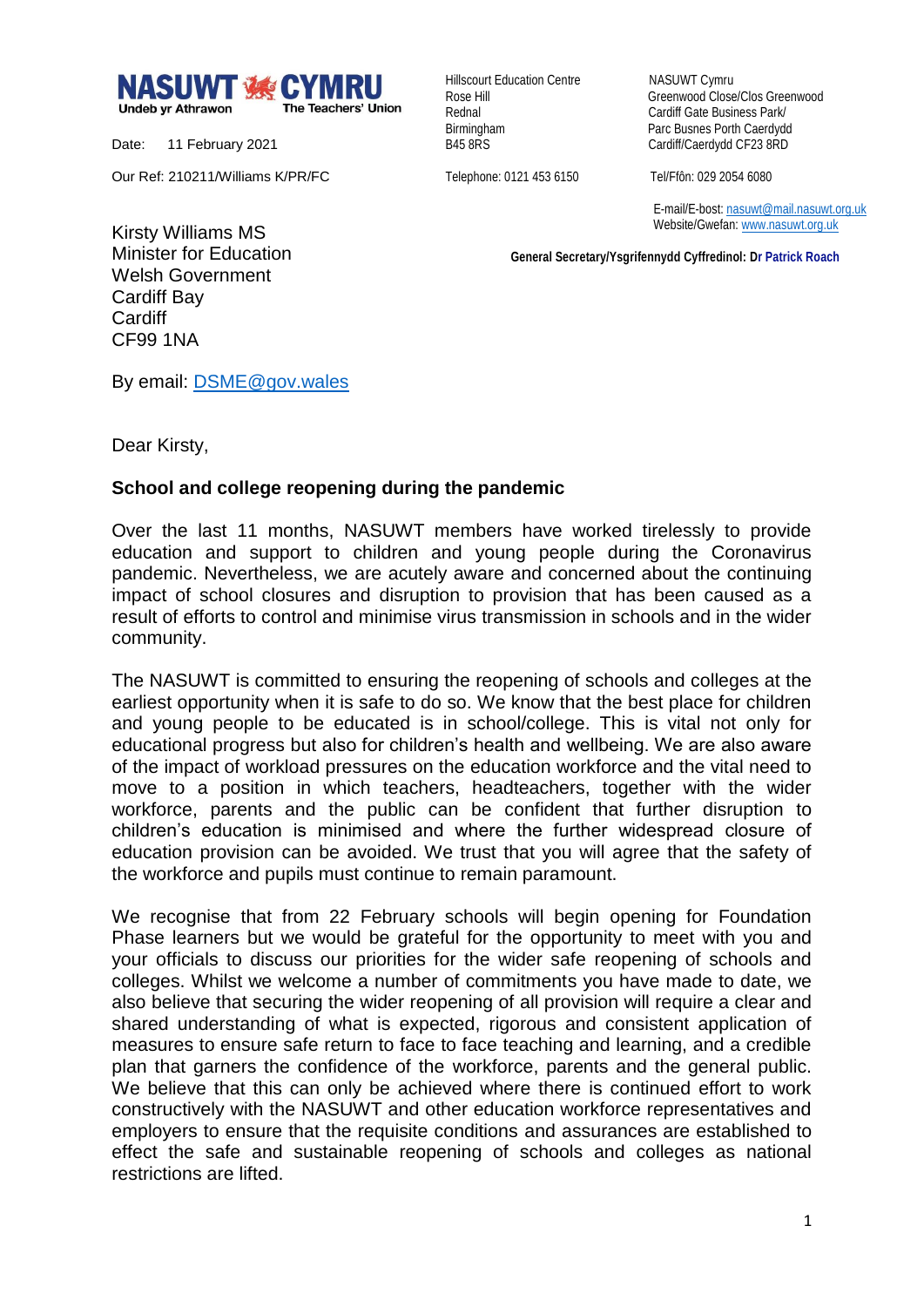

Date: 11 February 2021

Our Ref: 210211/Williams K/PR/FC

Hillscourt Education Centre NASUWT Cymru

Rose Hill Greenwood Close/Clos Greenwood Rednal **Cardiff Gate Business Park/** Birmingham Parc Busnes Porth Caerdydd<br>
B45 8RS<br>
Cardiff/Caerdydd CF23 8RD Cardiff/Caerdydd CF23 8RD

Telephone: 0121 453 6150 Tel/Ffôn: 029 2054 6080

 E-mail/E-bost[: nasuwt@mail.nasuwt.org.uk](mailto:nasuwt@mail.nasuwt.org.uk) Website/Gwefan: [www.nasuwt.org.uk](http://www.nasuwt.org.uk/)

 **General Secretary/Ysgrifennydd Cyffredinol: Dr Patrick Roach**

Kirsty Williams MS Minister for Education Welsh Government Cardiff Bay **Cardiff** CF99 1NA

By email: [DSME@gov.wales](mailto:DSME@gov.wales)

Dear Kirsty,

## **School and college reopening during the pandemic**

Over the last 11 months, NASUWT members have worked tirelessly to provide education and support to children and young people during the Coronavirus pandemic. Nevertheless, we are acutely aware and concerned about the continuing impact of school closures and disruption to provision that has been caused as a result of efforts to control and minimise virus transmission in schools and in the wider community.

The NASUWT is committed to ensuring the reopening of schools and colleges at the earliest opportunity when it is safe to do so. We know that the best place for children and young people to be educated is in school/college. This is vital not only for educational progress but also for children's health and wellbeing. We are also aware of the impact of workload pressures on the education workforce and the vital need to move to a position in which teachers, headteachers, together with the wider workforce, parents and the public can be confident that further disruption to children's education is minimised and where the further widespread closure of education provision can be avoided. We trust that you will agree that the safety of the workforce and pupils must continue to remain paramount.

We recognise that from 22 February schools will begin opening for Foundation Phase learners but we would be grateful for the opportunity to meet with you and your officials to discuss our priorities for the wider safe reopening of schools and colleges. Whilst we welcome a number of commitments you have made to date, we also believe that securing the wider reopening of all provision will require a clear and shared understanding of what is expected, rigorous and consistent application of measures to ensure safe return to face to face teaching and learning, and a credible plan that garners the confidence of the workforce, parents and the general public. We believe that this can only be achieved where there is continued effort to work constructively with the NASUWT and other education workforce representatives and employers to ensure that the requisite conditions and assurances are established to effect the safe and sustainable reopening of schools and colleges as national restrictions are lifted.